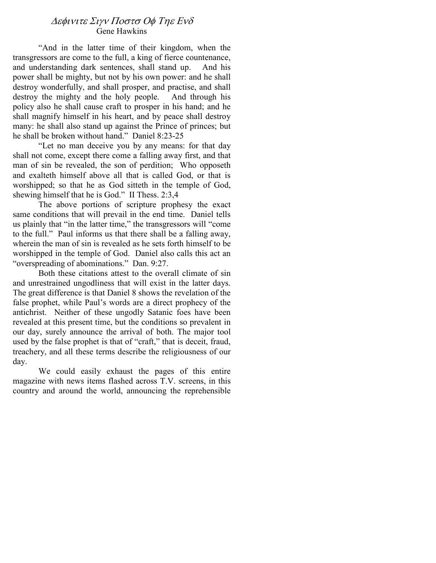# ∆εφινιτε Σιγν Ποστσ Οφ Τηε Ενδ Gene Hawkins

"And in the latter time of their kingdom, when the transgressors are come to the full, a king of fierce countenance, and understanding dark sentences, shall stand up. And his power shall be mighty, but not by his own power: and he shall destroy wonderfully, and shall prosper, and practise, and shall destroy the mighty and the holy people. And through his policy also he shall cause craft to prosper in his hand; and he shall magnify himself in his heart, and by peace shall destroy many: he shall also stand up against the Prince of princes; but he shall be broken without hand." Daniel 8:23-25

"Let no man deceive you by any means: for that day shall not come, except there come a falling away first, and that man of sin be revealed, the son of perdition; Who opposeth and exalteth himself above all that is called God, or that is worshipped; so that he as God sitteth in the temple of God, shewing himself that he is God." II Thess. 2:3,4

The above portions of scripture prophesy the exact same conditions that will prevail in the end time. Daniel tells us plainly that "in the latter time," the transgressors will "come to the full." Paul informs us that there shall be a falling away, wherein the man of sin is revealed as he sets forth himself to be worshipped in the temple of God. Daniel also calls this act an "overspreading of abominations." Dan. 9:27.

Both these citations attest to the overall climate of sin and unrestrained ungodliness that will exist in the latter days. The great difference is that Daniel 8 shows the revelation of the false prophet, while Paul's words are a direct prophecy of the antichrist. Neither of these ungodly Satanic foes have been revealed at this present time, but the conditions so prevalent in our day, surely announce the arrival of both. The major tool used by the false prophet is that of "craft," that is deceit, fraud, treachery, and all these terms describe the religiousness of our day.

We could easily exhaust the pages of this entire magazine with news items flashed across T.V. screens, in this country and around the world, announcing the reprehensible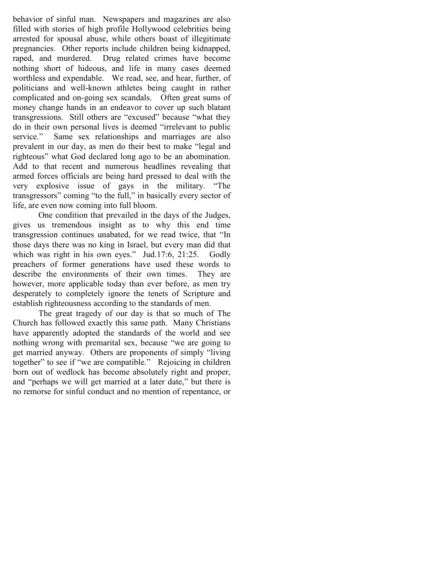behavior of sinful man. Newspapers and magazines are also filled with stories of high profile Hollywood celebrities being arrested for spousal abuse, while others boast of illegitimate pregnancies. Other reports include children being kidnapped, raped, and murdered. Drug related crimes have become nothing short of hideous, and life in many cases deemed worthless and expendable. We read, see, and hear, further, of politicians and well-known athletes being caught in rather complicated and on-going sex scandals. Often great sums of money change hands in an endeavor to cover up such blatant transgressions. Still others are "excused" because "what they do in their own personal lives is deemed "irrelevant to public service." Same sex relationships and marriages are also prevalent in our day, as men do their best to make "legal and righteous" what God declared long ago to be an abomination. Add to that recent and numerous headlines revealing that armed forces officials are being hard pressed to deal with the very explosive issue of gays in the military. "The transgressors" coming "to the full," in basically every sector of life, are even now coming into full bloom.

One condition that prevailed in the days of the Judges, gives us tremendous insight as to why this end time transgression continues unabated, for we read twice, that "In those days there was no king in Israel, but every man did that which was right in his own eyes." Jud.17:6, 21:25. Godly preachers of former generations have used these words to describe the environments of their own times. They are however, more applicable today than ever before, as men try desperately to completely ignore the tenets of Scripture and establish righteousness according to the standards of men.

The great tragedy of our day is that so much of The Church has followed exactly this same path. Many Christians have apparently adopted the standards of the world and see nothing wrong with premarital sex, because "we are going to get married anyway. Others are proponents of simply "living together" to see if "we are compatible." Rejoicing in children born out of wedlock has become absolutely right and proper, and "perhaps we will get married at a later date," but there is no remorse for sinful conduct and no mention of repentance, or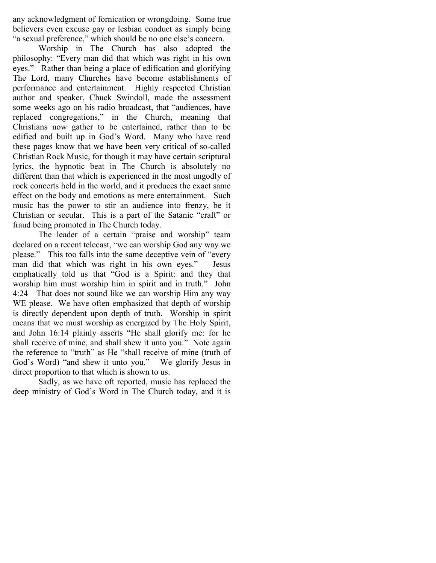any acknowledgment of fornication or wrongdoing. Some true believers even excuse gay or lesbian conduct as simply being "a sexual preference," which should be no one else's concern.

Worship in The Church has also adopted the philosophy: "Every man did that which was right in his own eyes." Rather than being a place of edification and glorifying The Lord, many Churches have become establishments of performance and entertainment. Highly respected Christian author and speaker, Chuck Swindoll, made the assessment some weeks ago on his radio broadcast, that "audiences, have replaced congregations," in the Church, meaning that Christians now gather to be entertained, rather than to be edified and built up in God's Word. Many who have read these pages know that we have been very critical of so-called Christian Rock Music, for though it may have certain scriptural lyrics, the hypnotic beat in The Church is absolutely no different than that which is experienced in the most ungodly of rock concerts held in the world, and it produces the exact same effect on the body and emotions as mere entertainment. Such music has the power to stir an audience into frenzy, be it Christian or secular. This is a part of the Satanic "craft" or fraud being promoted in The Church today.

The leader of a certain "praise and worship" team declared on a recent telecast, "we can worship God any way we please." This too falls into the same deceptive vein of "every man did that which was right in his own eyes." Jesus emphatically told us that "God is a Spirit: and they that worship him must worship him in spirit and in truth." John 4:24 That does not sound like we can worship Him any way WE please. We have often emphasized that depth of worship is directly dependent upon depth of truth. Worship in spirit means that we must worship as energized by The Holy Spirit, and John 16:14 plainly asserts "He shall glorify me: for he shall receive of mine, and shall shew it unto you." Note again the reference to "truth" as He "shall receive of mine (truth of God's Word) "and shew it unto you." We glorify Jesus in direct proportion to that which is shown to us.

Sadly, as we have oft reported, music has replaced the deep ministry of God's Word in The Church today, and it is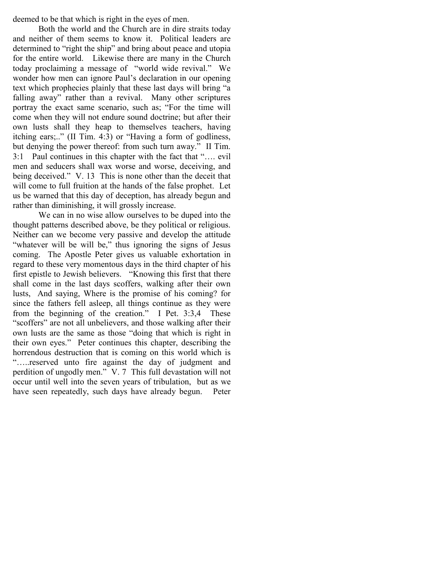deemed to be that which is right in the eyes of men.

Both the world and the Church are in dire straits today and neither of them seems to know it. Political leaders are determined to "right the ship" and bring about peace and utopia for the entire world. Likewise there are many in the Church today proclaiming a message of "world wide revival." We wonder how men can ignore Paul's declaration in our opening text which prophecies plainly that these last days will bring "a falling away" rather than a revival. Many other scriptures portray the exact same scenario, such as; "For the time will come when they will not endure sound doctrine; but after their own lusts shall they heap to themselves teachers, having itching ears;.." (II Tim. 4:3) or "Having a form of godliness, but denying the power thereof: from such turn away." II Tim. 3:1 Paul continues in this chapter with the fact that "…. evil men and seducers shall wax worse and worse, deceiving, and being deceived." V. 13 This is none other than the deceit that will come to full fruition at the hands of the false prophet. Let us be warned that this day of deception, has already begun and rather than diminishing, it will grossly increase.

We can in no wise allow ourselves to be duped into the thought patterns described above, be they political or religious. Neither can we become very passive and develop the attitude "whatever will be will be," thus ignoring the signs of Jesus coming. The Apostle Peter gives us valuable exhortation in regard to these very momentous days in the third chapter of his first epistle to Jewish believers. "Knowing this first that there shall come in the last days scoffers, walking after their own lusts, And saying, Where is the promise of his coming? for since the fathers fell asleep, all things continue as they were from the beginning of the creation." I Pet. 3:3,4 These "scoffers" are not all unbelievers, and those walking after their own lusts are the same as those "doing that which is right in their own eyes." Peter continues this chapter, describing the horrendous destruction that is coming on this world which is "…..reserved unto fire against the day of judgment and perdition of ungodly men." V. 7 This full devastation will not occur until well into the seven years of tribulation, but as we have seen repeatedly, such days have already begun. Peter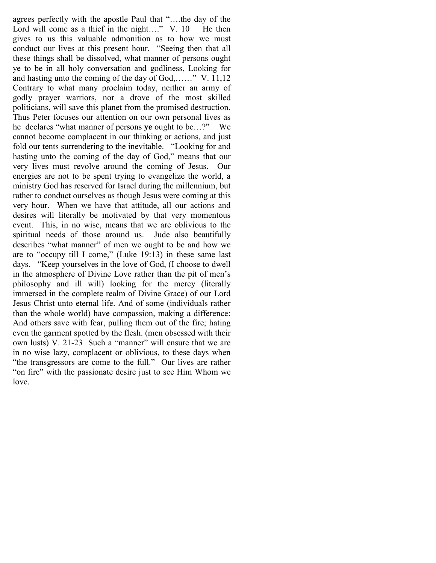agrees perfectly with the apostle Paul that "….the day of the Lord will come as a thief in the night...." V. 10 He then gives to us this valuable admonition as to how we must conduct our lives at this present hour. "Seeing then that all these things shall be dissolved, what manner of persons ought ye to be in all holy conversation and godliness, Looking for and hasting unto the coming of the day of God,……" V. 11,12 Contrary to what many proclaim today, neither an army of godly prayer warriors, nor a drove of the most skilled politicians, will save this planet from the promised destruction. Thus Peter focuses our attention on our own personal lives as he declares "what manner of persons ye ought to be…?" We cannot become complacent in our thinking or actions, and just fold our tents surrendering to the inevitable. "Looking for and hasting unto the coming of the day of God," means that our very lives must revolve around the coming of Jesus. Our energies are not to be spent trying to evangelize the world, a ministry God has reserved for Israel during the millennium, but rather to conduct ourselves as though Jesus were coming at this very hour. When we have that attitude, all our actions and desires will literally be motivated by that very momentous event. This, in no wise, means that we are oblivious to the spiritual needs of those around us. Jude also beautifully describes "what manner" of men we ought to be and how we are to "occupy till I come," (Luke 19:13) in these same last days. "Keep yourselves in the love of God, (I choose to dwell in the atmosphere of Divine Love rather than the pit of men's philosophy and ill will) looking for the mercy (literally immersed in the complete realm of Divine Grace) of our Lord Jesus Christ unto eternal life. And of some (individuals rather than the whole world) have compassion, making a difference: And others save with fear, pulling them out of the fire; hating even the garment spotted by the flesh. (men obsessed with their own lusts) V. 21-23 Such a "manner" will ensure that we are in no wise lazy, complacent or oblivious, to these days when "the transgressors are come to the full." Our lives are rather "on fire" with the passionate desire just to see Him Whom we love.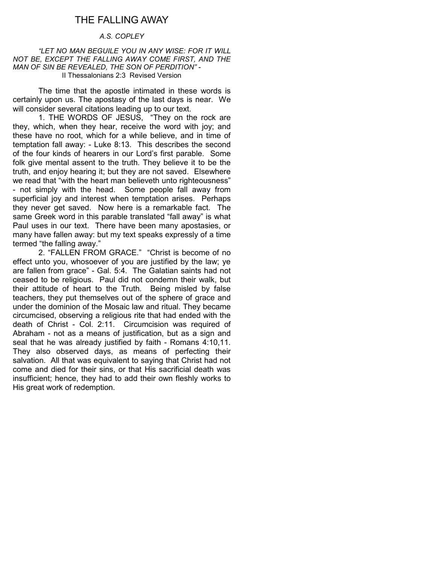# THE FALLING AWAY

### A.S. COPLEY

 "LET NO MAN BEGUILE YOU IN ANY WISE: FOR IT WILL NOT BE, EXCEPT THE FALLING AWAY COME FIRST, AND THE MAN OF SIN BE REVEALED, THE SON OF PERDITION" - II Thessalonians 2:3 Revised Version

 The time that the apostle intimated in these words is certainly upon us. The apostasy of the last days is near. We will consider several citations leading up to our text.

 1. THE WORDS OF JESUS, "They on the rock are they, which, when they hear, receive the word with joy; and these have no root, which for a while believe, and in time of temptation fall away: - Luke 8:13. This describes the second of the four kinds of hearers in our Lord's first parable. Some folk give mental assent to the truth. They believe it to be the truth, and enjoy hearing it; but they are not saved. Elsewhere we read that "with the heart man believeth unto righteousness" - not simply with the head. Some people fall away from superficial joy and interest when temptation arises. Perhaps they never get saved. Now here is a remarkable fact. The same Greek word in this parable translated "fall away" is what Paul uses in our text. There have been many apostasies, or many have fallen away: but my text speaks expressly of a time termed "the falling away."

 2. "FALLEN FROM GRACE." "Christ is become of no effect unto you, whosoever of you are justified by the law; ye are fallen from grace" - Gal. 5:4. The Galatian saints had not ceased to be religious. Paul did not condemn their walk, but their attitude of heart to the Truth. Being misled by false teachers, they put themselves out of the sphere of grace and under the dominion of the Mosaic law and ritual. They became circumcised, observing a religious rite that had ended with the death of Christ - Col. 2:11. Circumcision was required of Abraham - not as a means of justification, but as a sign and seal that he was already justified by faith - Romans 4:10,11. They also observed days, as means of perfecting their salvation. All that was equivalent to saying that Christ had not come and died for their sins, or that His sacrificial death was insufficient; hence, they had to add their own fleshly works to His great work of redemption.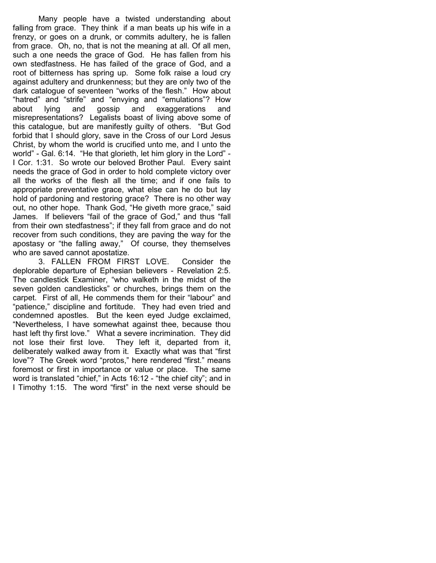Many people have a twisted understanding about falling from grace. They think if a man beats up his wife in a frenzy, or goes on a drunk, or commits adultery, he is fallen from grace. Oh, no, that is not the meaning at all. Of all men, such a one needs the grace of God. He has fallen from his own stedfastness. He has failed of the grace of God, and a root of bitterness has spring up. Some folk raise a loud cry against adultery and drunkenness; but they are only two of the dark catalogue of seventeen "works of the flesh." How about "hatred" and "strife" and "envying and "emulations"? How about lying and gossip and exaggerations and misrepresentations? Legalists boast of living above some of this catalogue, but are manifestly guilty of others. "But God forbid that I should glory, save in the Cross of our Lord Jesus Christ, by whom the world is crucified unto me, and I unto the world" - Gal. 6:14. "He that glorieth, let him glory in the Lord" - I Cor. 1:31. So wrote our beloved Brother Paul. Every saint needs the grace of God in order to hold complete victory over all the works of the flesh all the time; and if one fails to appropriate preventative grace, what else can he do but lay hold of pardoning and restoring grace? There is no other way out, no other hope. Thank God, "He giveth more grace," said James. If believers "fail of the grace of God," and thus "fall from their own stedfastness"; if they fall from grace and do not recover from such conditions, they are paving the way for the apostasy or "the falling away," Of course, they themselves who are saved cannot apostatize.

 3. FALLEN FROM FIRST LOVE. Consider the deplorable departure of Ephesian believers - Revelation 2:5. The candlestick Examiner, "who walketh in the midst of the seven golden candlesticks" or churches, brings them on the carpet. First of all, He commends them for their "labour" and "patience," discipline and fortitude. They had even tried and condemned apostles. But the keen eyed Judge exclaimed, "Nevertheless, I have somewhat against thee, because thou hast left thy first love." What a severe incrimination. They did not lose their first love. They left it, departed from it, deliberately walked away from it. Exactly what was that "first love"? The Greek word "protos," here rendered "first." means foremost or first in importance or value or place. The same word is translated "chief," in Acts 16:12 - "the chief city"; and in I Timothy 1:15. The word "first" in the next verse should be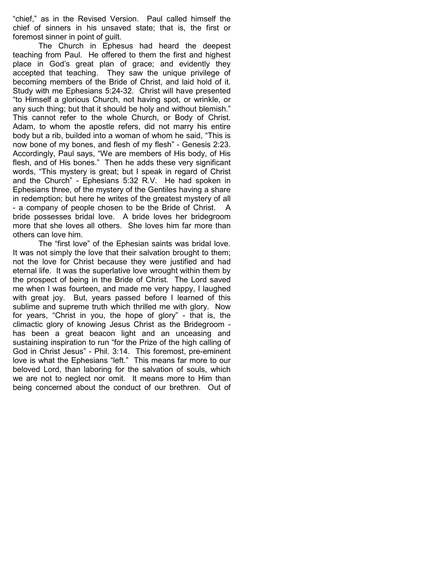"chief," as in the Revised Version. Paul called himself the chief of sinners in his unsaved state; that is, the first or foremost sinner in point of guilt.

 The Church in Ephesus had heard the deepest teaching from Paul. He offered to them the first and highest place in God's great plan of grace; and evidently they accepted that teaching. They saw the unique privilege of becoming members of the Bride of Christ, and laid hold of it. Study with me Ephesians 5:24-32. Christ will have presented "to Himself a glorious Church, not having spot, or wrinkle, or any such thing; but that it should be holy and without blemish." This cannot refer to the whole Church, or Body of Christ. Adam, to whom the apostle refers, did not marry his entire body but a rib, builded into a woman of whom he said, "This is now bone of my bones, and flesh of my flesh" - Genesis 2:23. Accordingly, Paul says, "We are members of His body, of His flesh, and of His bones." Then he adds these very significant words, "This mystery is great; but I speak in regard of Christ and the Church" - Ephesians 5:32 R.V. He had spoken in Ephesians three, of the mystery of the Gentiles having a share in redemption; but here he writes of the greatest mystery of all - a company of people chosen to be the Bride of Christ. A bride possesses bridal love. A bride loves her bridegroom more that she loves all others. She loves him far more than others can love him.

 The "first love" of the Ephesian saints was bridal love. It was not simply the love that their salvation brought to them; not the love for Christ because they were justified and had eternal life. It was the superlative love wrought within them by the prospect of being in the Bride of Christ. The Lord saved me when I was fourteen, and made me very happy, I laughed with great joy. But, years passed before I learned of this sublime and supreme truth which thrilled me with glory. Now for years, "Christ in you, the hope of glory" - that is, the climactic glory of knowing Jesus Christ as the Bridegroom has been a great beacon light and an unceasing and sustaining inspiration to run "for the Prize of the high calling of God in Christ Jesus" - Phil. 3:14. This foremost, pre-eminent love is what the Ephesians "left." This means far more to our beloved Lord, than laboring for the salvation of souls, which we are not to neglect nor omit. It means more to Him than being concerned about the conduct of our brethren. Out of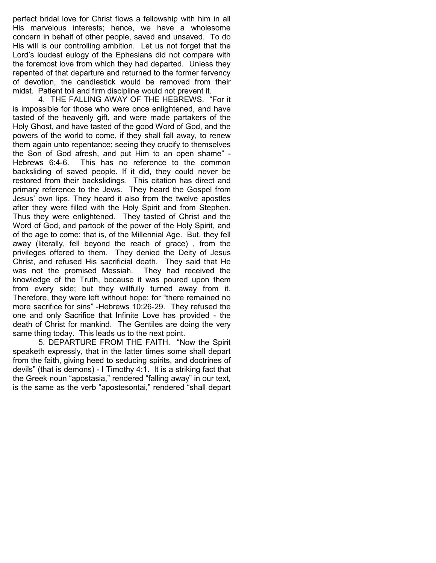perfect bridal love for Christ flows a fellowship with him in all His marvelous interests; hence, we have a wholesome concern in behalf of other people, saved and unsaved. To do His will is our controlling ambition. Let us not forget that the Lord's loudest eulogy of the Ephesians did not compare with the foremost love from which they had departed. Unless they repented of that departure and returned to the former fervency of devotion, the candlestick would be removed from their midst. Patient toil and firm discipline would not prevent it.

 4. THE FALLING AWAY OF THE HEBREWS. "For it is impossible for those who were once enlightened, and have tasted of the heavenly gift, and were made partakers of the Holy Ghost, and have tasted of the good Word of God, and the powers of the world to come, if they shall fall away, to renew them again unto repentance; seeing they crucify to themselves the Son of God afresh, and put Him to an open shame" - Hebrews 6:4-6. This has no reference to the common backsliding of saved people. If it did, they could never be restored from their backslidings. This citation has direct and primary reference to the Jews. They heard the Gospel from Jesus' own lips. They heard it also from the twelve apostles after they were filled with the Holy Spirit and from Stephen. Thus they were enlightened. They tasted of Christ and the Word of God, and partook of the power of the Holy Spirit, and of the age to come; that is, of the Millennial Age. But, they fell away (literally, fell beyond the reach of grace) , from the privileges offered to them. They denied the Deity of Jesus Christ, and refused His sacrificial death. They said that He was not the promised Messiah. They had received the knowledge of the Truth, because it was poured upon them from every side; but they willfully turned away from it. Therefore, they were left without hope; for "there remained no more sacrifice for sins" -Hebrews 10:26-29. They refused the one and only Sacrifice that Infinite Love has provided - the death of Christ for mankind. The Gentiles are doing the very same thing today. This leads us to the next point.

 5. DEPARTURE FROM THE FAITH. "Now the Spirit speaketh expressly, that in the latter times some shall depart from the faith, giving heed to seducing spirits, and doctrines of devils" (that is demons) - I Timothy 4:1. It is a striking fact that the Greek noun "apostasia," rendered "falling away" in our text, is the same as the verb "apostesontai," rendered "shall depart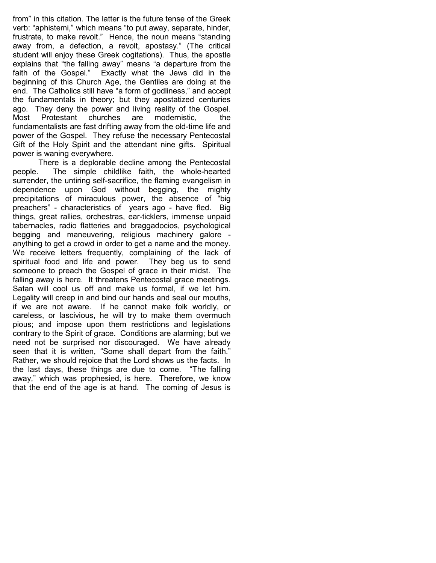from" in this citation. The latter is the future tense of the Greek verb: "aphistemi," which means "to put away, separate, hinder, frustrate, to make revolt." Hence, the noun means "standing away from, a defection, a revolt, apostasy." (The critical student will enjoy these Greek cogitations). Thus, the apostle explains that "the falling away" means "a departure from the faith of the Gospel." Exactly what the Jews did in the beginning of this Church Age, the Gentiles are doing at the end. The Catholics still have "a form of godliness," and accept the fundamentals in theory; but they apostatized centuries ago. They deny the power and living reality of the Gospel. Most Protestant churches are modernistic, the fundamentalists are fast drifting away from the old-time life and power of the Gospel. They refuse the necessary Pentecostal Gift of the Holy Spirit and the attendant nine gifts. Spiritual power is waning everywhere.

 There is a deplorable decline among the Pentecostal people. The simple childlike faith, the whole-hearted surrender, the untiring self-sacrifice, the flaming evangelism in dependence upon God without begging, the mighty precipitations of miraculous power, the absence of "big preachers" - characteristics of years ago - have fled. Big things, great rallies, orchestras, ear-ticklers, immense unpaid tabernacles, radio flatteries and braggadocios, psychological begging and maneuvering, religious machinery galore anything to get a crowd in order to get a name and the money. We receive letters frequently, complaining of the lack of spiritual food and life and power. They beg us to send someone to preach the Gospel of grace in their midst. The falling away is here. It threatens Pentecostal grace meetings. Satan will cool us off and make us formal, if we let him. Legality will creep in and bind our hands and seal our mouths, if we are not aware. If he cannot make folk worldly, or careless, or lascivious, he will try to make them overmuch pious; and impose upon them restrictions and legislations contrary to the Spirit of grace. Conditions are alarming; but we need not be surprised nor discouraged. We have already seen that it is written, "Some shall depart from the faith." Rather, we should rejoice that the Lord shows us the facts. In the last days, these things are due to come. "The falling away," which was prophesied, is here. Therefore, we know that the end of the age is at hand. The coming of Jesus is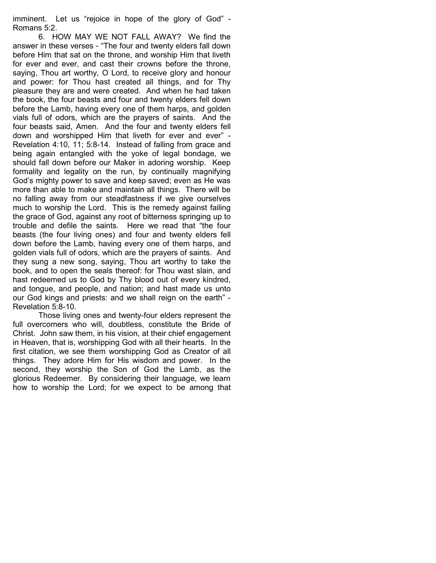imminent. Let us "rejoice in hope of the glory of God" - Romans 5:2.

 6. HOW MAY WE NOT FALL AWAY? We find the answer in these verses - "The four and twenty elders fall down before Him that sat on the throne, and worship Him that liveth for ever and ever, and cast their crowns before the throne, saying, Thou art worthy, O Lord, to receive glory and honour and power: for Thou hast created all things, and for Thy pleasure they are and were created. And when he had taken the book, the four beasts and four and twenty elders fell down before the Lamb, having every one of them harps, and golden vials full of odors, which are the prayers of saints. And the four beasts said, Amen. And the four and twenty elders fell down and worshipped Him that liveth for ever and ever" - Revelation 4:10, 11; 5:8-14. Instead of falling from grace and being again entangled with the yoke of legal bondage, we should fall down before our Maker in adoring worship. Keep formality and legality on the run, by continually magnifying God's mighty power to save and keep saved; even as He was more than able to make and maintain all things. There will be no falling away from our steadfastness if we give ourselves much to worship the Lord. This is the remedy against failing the grace of God, against any root of bitterness springing up to trouble and defile the saints. Here we read that "the four beasts (the four living ones) and four and twenty elders fell down before the Lamb, having every one of them harps, and golden vials full of odors, which are the prayers of saints. And they sung a new song, saying, Thou art worthy to take the book, and to open the seals thereof: for Thou wast slain, and hast redeemed us to God by Thy blood out of every kindred, and tongue, and people, and nation; and hast made us unto our God kings and priests: and we shall reign on the earth" - Revelation 5:8-10.

 Those living ones and twenty-four elders represent the full overcomers who will, doubtless, constitute the Bride of Christ. John saw them, in his vision, at their chief engagement in Heaven, that is, worshipping God with all their hearts. In the first citation, we see them worshipping God as Creator of all things. They adore Him for His wisdom and power. In the second, they worship the Son of God the Lamb, as the glorious Redeemer. By considering their language, we learn how to worship the Lord; for we expect to be among that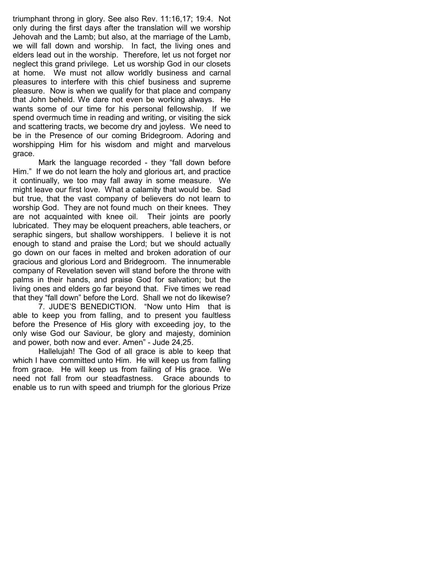triumphant throng in glory. See also Rev. 11:16,17; 19:4. Not only during the first days after the translation will we worship Jehovah and the Lamb; but also, at the marriage of the Lamb, we will fall down and worship. In fact, the living ones and elders lead out in the worship. Therefore, let us not forget nor neglect this grand privilege. Let us worship God in our closets at home. We must not allow worldly business and carnal pleasures to interfere with this chief business and supreme pleasure. Now is when we qualify for that place and company that John beheld. We dare not even be working always. He wants some of our time for his personal fellowship. If we spend overmuch time in reading and writing, or visiting the sick and scattering tracts, we become dry and joyless. We need to be in the Presence of our coming Bridegroom. Adoring and worshipping Him for his wisdom and might and marvelous grace.

 Mark the language recorded - they "fall down before Him." If we do not learn the holy and glorious art, and practice it continually, we too may fall away in some measure. We might leave our first love. What a calamity that would be. Sad but true, that the vast company of believers do not learn to worship God. They are not found much on their knees. They are not acquainted with knee oil. Their joints are poorly lubricated. They may be eloquent preachers, able teachers, or seraphic singers, but shallow worshippers. I believe it is not enough to stand and praise the Lord; but we should actually go down on our faces in melted and broken adoration of our gracious and glorious Lord and Bridegroom. The innumerable company of Revelation seven will stand before the throne with palms in their hands, and praise God for salvation; but the living ones and elders go far beyond that. Five times we read that they "fall down" before the Lord. Shall we not do likewise?

 7. JUDE'S BENEDICTION. "Now unto Him that is able to keep you from falling, and to present you faultless before the Presence of His glory with exceeding joy, to the only wise God our Saviour, be glory and majesty, dominion and power, both now and ever. Amen" - Jude 24,25.

 Hallelujah! The God of all grace is able to keep that which I have committed unto Him. He will keep us from falling from grace. He will keep us from failing of His grace. We need not fall from our steadfastness. Grace abounds to enable us to run with speed and triumph for the glorious Prize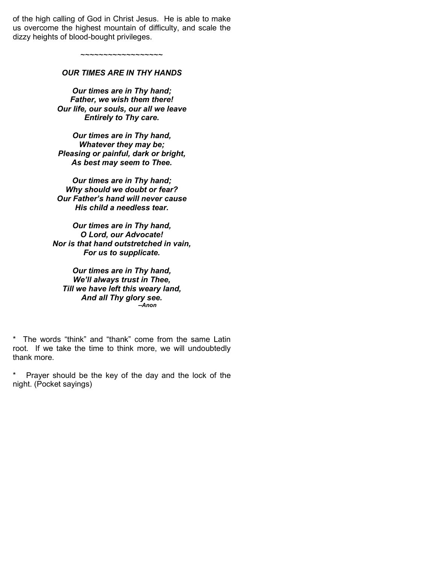of the high calling of God in Christ Jesus. He is able to make us overcome the highest mountain of difficulty, and scale the dizzy heights of blood-bought privileges.

> ~~~~~~~~~~~~~~~~~~ OUR TIMES ARE IN THY HANDS

Our times are in Thy hand; Father, we wish them there! Our life, our souls, our all we leave Entirely to Thy care.

Our times are in Thy hand, Whatever they may be; Pleasing or painful, dark or bright, As best may seem to Thee.

Our times are in Thy hand; Why should we doubt or fear? Our Father's hand will never cause His child a needless tear.

Our times are in Thy hand, O Lord, our Advocate! Nor is that hand outstretched in vain, For us to supplicate.

Our times are in Thy hand, We'll always trust in Thee, Till we have left this weary land, And all Thy glory see. --Anon

\* The words "think" and "thank" come from the same Latin root. If we take the time to think more, we will undoubtedly thank more.

\* Prayer should be the key of the day and the lock of the night. (Pocket sayings)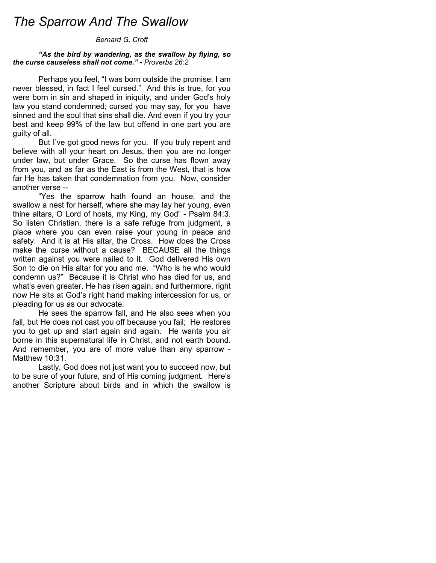# The Sparrow And The Swallow

#### Bernard G. Croft

#### "As the bird by wandering, as the swallow by flying, so the curse causeless shall not come." - Proverbs 26:2

Perhaps you feel, "I was born outside the promise; I am never blessed, in fact I feel cursed." And this is true, for you were born in sin and shaped in iniquity, and under God's holy law you stand condemned; cursed you may say, for you have sinned and the soul that sins shall die. And even if you try your best and keep 99% of the law but offend in one part you are guilty of all.

 But I've got good news for you. If you truly repent and believe with all your heart on Jesus, then you are no longer under law, but under Grace. So the curse has flown away from you, and as far as the East is from the West, that is how far He has taken that condemnation from you. Now, consider another verse --

 "Yes the sparrow hath found an house, and the swallow a nest for herself, where she may lay her young, even thine altars, O Lord of hosts, my King, my God" - Psalm 84:3. So listen Christian, there is a safe refuge from judgment, a place where you can even raise your young in peace and safety. And it is at His altar, the Cross. How does the Cross make the curse without a cause? BECAUSE all the things written against you were nailed to it. God delivered His own Son to die on His altar for you and me. "Who is he who would condemn us?" Because it is Christ who has died for us, and what's even greater, He has risen again, and furthermore, right now He sits at God's right hand making intercession for us, or pleading for us as our advocate.

 He sees the sparrow fall, and He also sees when you fall, but He does not cast you off because you fail; He restores you to get up and start again and again. He wants you air borne in this supernatural life in Christ, and not earth bound. And remember, you are of more value than any sparrow - Matthew 10:31.

 Lastly, God does not just want you to succeed now, but to be sure of your future, and of His coming judgment. Here's another Scripture about birds and in which the swallow is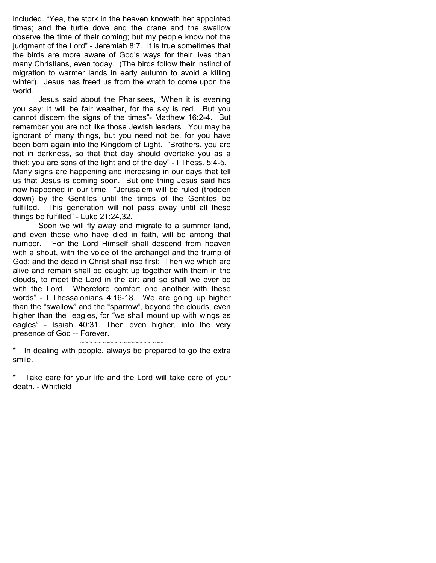included. "Yea, the stork in the heaven knoweth her appointed times; and the turtle dove and the crane and the swallow observe the time of their coming; but my people know not the judgment of the Lord" - Jeremiah 8:7. It is true sometimes that the birds are more aware of God's ways for their lives than many Christians, even today. (The birds follow their instinct of migration to warmer lands in early autumn to avoid a killing winter). Jesus has freed us from the wrath to come upon the world.

 Jesus said about the Pharisees, "When it is evening you say: It will be fair weather, for the sky is red. But you cannot discern the signs of the times"- Matthew 16:2-4. But remember you are not like those Jewish leaders. You may be ignorant of many things, but you need not be, for you have been born again into the Kingdom of Light. "Brothers, you are not in darkness, so that that day should overtake you as a thief; you are sons of the light and of the day" - I Thess. 5:4-5. Many signs are happening and increasing in our days that tell us that Jesus is coming soon. But one thing Jesus said has now happened in our time. "Jerusalem will be ruled (trodden down) by the Gentiles until the times of the Gentiles be fulfilled. This generation will not pass away until all these things be fulfilled" - Luke 21:24,32.

 Soon we will fly away and migrate to a summer land, and even those who have died in faith, will be among that number. "For the Lord Himself shall descend from heaven with a shout, with the voice of the archangel and the trump of God: and the dead in Christ shall rise first: Then we which are alive and remain shall be caught up together with them in the clouds, to meet the Lord in the air: and so shall we ever be with the Lord. Wherefore comfort one another with these words" - I Thessalonians 4:16-18. We are going up higher than the "swallow" and the "sparrow", beyond the clouds, even higher than the eagles, for "we shall mount up with wings as eagles" - Isaiah 40:31. Then even higher, into the very presence of God -- Forever.

~~~~~~~~~~~~~~~~~~~~ In dealing with people, always be prepared to go the extra smile.

Take care for your life and the Lord will take care of your death. - Whitfield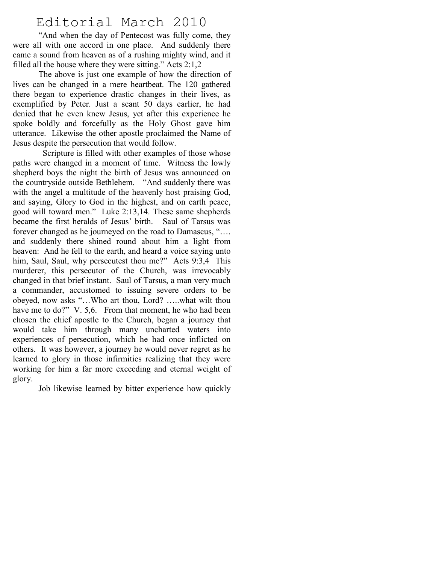# Editorial March 2010

"And when the day of Pentecost was fully come, they were all with one accord in one place. And suddenly there came a sound from heaven as of a rushing mighty wind, and it filled all the house where they were sitting." Acts 2:1,2

The above is just one example of how the direction of lives can be changed in a mere heartbeat. The 120 gathered there began to experience drastic changes in their lives, as exemplified by Peter. Just a scant 50 days earlier, he had denied that he even knew Jesus, yet after this experience he spoke boldly and forcefully as the Holy Ghost gave him utterance. Likewise the other apostle proclaimed the Name of Jesus despite the persecution that would follow.

 Scripture is filled with other examples of those whose paths were changed in a moment of time. Witness the lowly shepherd boys the night the birth of Jesus was announced on the countryside outside Bethlehem. "And suddenly there was with the angel a multitude of the heavenly host praising God, and saying, Glory to God in the highest, and on earth peace, good will toward men." Luke 2:13,14. These same shepherds became the first heralds of Jesus' birth. Saul of Tarsus was forever changed as he journeyed on the road to Damascus, "…. and suddenly there shined round about him a light from heaven: And he fell to the earth, and heard a voice saying unto him, Saul, Saul, why persecutest thou me?" Acts 9:3,4 This murderer, this persecutor of the Church, was irrevocably changed in that brief instant. Saul of Tarsus, a man very much a commander, accustomed to issuing severe orders to be obeyed, now asks "…Who art thou, Lord? …..what wilt thou have me to do?" V. 5,6. From that moment, he who had been chosen the chief apostle to the Church, began a journey that would take him through many uncharted waters into experiences of persecution, which he had once inflicted on others. It was however, a journey he would never regret as he learned to glory in those infirmities realizing that they were working for him a far more exceeding and eternal weight of glory.

Job likewise learned by bitter experience how quickly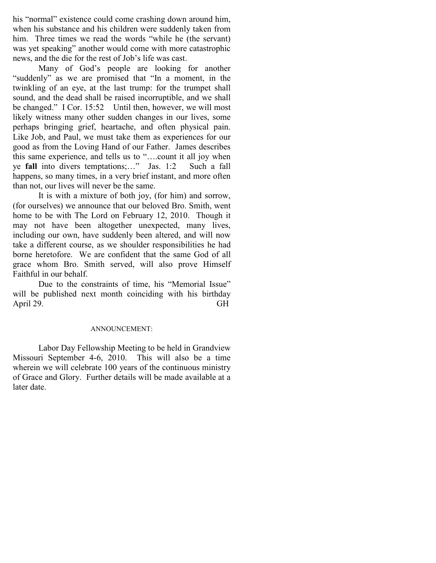his "normal" existence could come crashing down around him, when his substance and his children were suddenly taken from him. Three times we read the words "while he (the servant) was yet speaking" another would come with more catastrophic news, and the die for the rest of Job's life was cast.

Many of God's people are looking for another "suddenly" as we are promised that "In a moment, in the twinkling of an eye, at the last trump: for the trumpet shall sound, and the dead shall be raised incorruptible, and we shall be changed." I Cor. 15:52 Until then, however, we will most likely witness many other sudden changes in our lives, some perhaps bringing grief, heartache, and often physical pain. Like Job, and Paul, we must take them as experiences for our good as from the Loving Hand of our Father. James describes this same experience, and tells us to "….count it all joy when ye fall into divers temptations;…" Jas. 1:2 Such a fall happens, so many times, in a very brief instant, and more often than not, our lives will never be the same.

It is with a mixture of both joy, (for him) and sorrow, (for ourselves) we announce that our beloved Bro. Smith, went home to be with The Lord on February 12, 2010. Though it may not have been altogether unexpected, many lives, including our own, have suddenly been altered, and will now take a different course, as we shoulder responsibilities he had borne heretofore. We are confident that the same God of all grace whom Bro. Smith served, will also prove Himself Faithful in our behalf.

Due to the constraints of time, his "Memorial Issue" will be published next month coinciding with his birthday April 29. GH

### ANNOUNCEMENT:

Labor Day Fellowship Meeting to be held in Grandview Missouri September 4-6, 2010. This will also be a time wherein we will celebrate 100 years of the continuous ministry of Grace and Glory. Further details will be made available at a later date.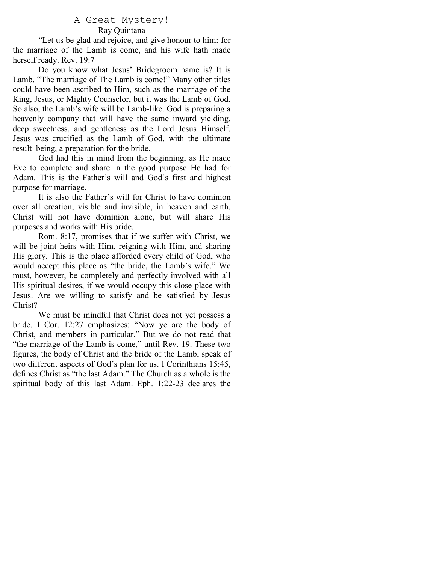### A Great Mystery! Ray Quintana

"Let us be glad and rejoice, and give honour to him: for the marriage of the Lamb is come, and his wife hath made herself ready. Rev. 19:7

Do you know what Jesus' Bridegroom name is? It is Lamb. "The marriage of The Lamb is come!" Many other titles could have been ascribed to Him, such as the marriage of the King, Jesus, or Mighty Counselor, but it was the Lamb of God. So also, the Lamb's wife will be Lamb-like. God is preparing a heavenly company that will have the same inward yielding, deep sweetness, and gentleness as the Lord Jesus Himself. Jesus was crucified as the Lamb of God, with the ultimate result being, a preparation for the bride.

God had this in mind from the beginning, as He made Eve to complete and share in the good purpose He had for Adam. This is the Father's will and God's first and highest purpose for marriage.

It is also the Father's will for Christ to have dominion over all creation, visible and invisible, in heaven and earth. Christ will not have dominion alone, but will share His purposes and works with His bride.

Rom. 8:17, promises that if we suffer with Christ, we will be joint heirs with Him, reigning with Him, and sharing His glory. This is the place afforded every child of God, who would accept this place as "the bride, the Lamb's wife." We must, however, be completely and perfectly involved with all His spiritual desires, if we would occupy this close place with Jesus. Are we willing to satisfy and be satisfied by Jesus Christ?

We must be mindful that Christ does not yet possess a bride. I Cor. 12:27 emphasizes: "Now ye are the body of Christ, and members in particular." But we do not read that "the marriage of the Lamb is come," until Rev. 19. These two figures, the body of Christ and the bride of the Lamb, speak of two different aspects of God's plan for us. I Corinthians 15:45, defines Christ as "the last Adam." The Church as a whole is the spiritual body of this last Adam. Eph. 1:22-23 declares the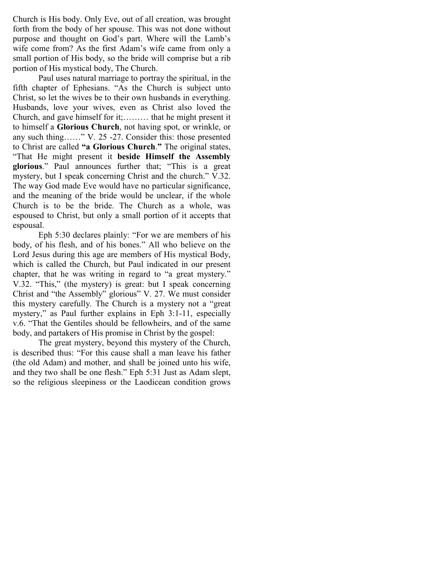Church is His body. Only Eve, out of all creation, was brought forth from the body of her spouse. This was not done without purpose and thought on God's part. Where will the Lamb's wife come from? As the first Adam's wife came from only a small portion of His body, so the bride will comprise but a rib portion of His mystical body, The Church.

Paul uses natural marriage to portray the spiritual, in the fifth chapter of Ephesians. "As the Church is subject unto Christ, so let the wives be to their own husbands in everything. Husbands, love your wives, even as Christ also loved the Church, and gave himself for it;……… that he might present it to himself a Glorious Church, not having spot, or wrinkle, or any such thing……" V. 25 -27. Consider this: those presented to Christ are called "a Glorious Church." The original states, "That He might present it beside Himself the Assembly glorious." Paul announces further that; "This is a great mystery, but I speak concerning Christ and the church." V.32. The way God made Eve would have no particular significance, and the meaning of the bride would be unclear, if the whole Church is to be the bride. The Church as a whole, was espoused to Christ, but only a small portion of it accepts that espousal.

Eph 5:30 declares plainly: "For we are members of his body, of his flesh, and of his bones." All who believe on the Lord Jesus during this age are members of His mystical Body, which is called the Church, but Paul indicated in our present chapter, that he was writing in regard to "a great mystery." V.32. "This," (the mystery) is great: but I speak concerning Christ and "the Assembly" glorious" V. 27. We must consider this mystery carefully. The Church is a mystery not a "great mystery," as Paul further explains in Eph 3:1-11, especially v.6. "That the Gentiles should be fellowheirs, and of the same body, and partakers of His promise in Christ by the gospel:

 The great mystery, beyond this mystery of the Church, is described thus: "For this cause shall a man leave his father (the old Adam) and mother, and shall be joined unto his wife, and they two shall be one flesh." Eph 5:31 Just as Adam slept, so the religious sleepiness or the Laodicean condition grows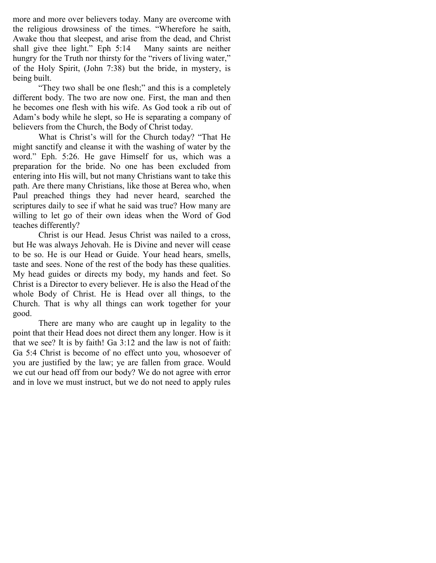more and more over believers today. Many are overcome with the religious drowsiness of the times. "Wherefore he saith, Awake thou that sleepest, and arise from the dead, and Christ shall give thee light." Eph 5:14 Many saints are neither hungry for the Truth nor thirsty for the "rivers of living water," of the Holy Spirit, (John 7:38) but the bride, in mystery, is being built.

"They two shall be one flesh;" and this is a completely different body. The two are now one. First, the man and then he becomes one flesh with his wife. As God took a rib out of Adam's body while he slept, so He is separating a company of believers from the Church, the Body of Christ today.

What is Christ's will for the Church today? "That He might sanctify and cleanse it with the washing of water by the word." Eph. 5:26. He gave Himself for us, which was a preparation for the bride. No one has been excluded from entering into His will, but not many Christians want to take this path. Are there many Christians, like those at Berea who, when Paul preached things they had never heard, searched the scriptures daily to see if what he said was true? How many are willing to let go of their own ideas when the Word of God teaches differently?

Christ is our Head. Jesus Christ was nailed to a cross, but He was always Jehovah. He is Divine and never will cease to be so. He is our Head or Guide. Your head hears, smells, taste and sees. None of the rest of the body has these qualities. My head guides or directs my body, my hands and feet. So Christ is a Director to every believer. He is also the Head of the whole Body of Christ. He is Head over all things, to the Church. That is why all things can work together for your good.

There are many who are caught up in legality to the point that their Head does not direct them any longer. How is it that we see? It is by faith! Ga 3:12 and the law is not of faith: Ga 5:4 Christ is become of no effect unto you, whosoever of you are justified by the law; ye are fallen from grace. Would we cut our head off from our body? We do not agree with error and in love we must instruct, but we do not need to apply rules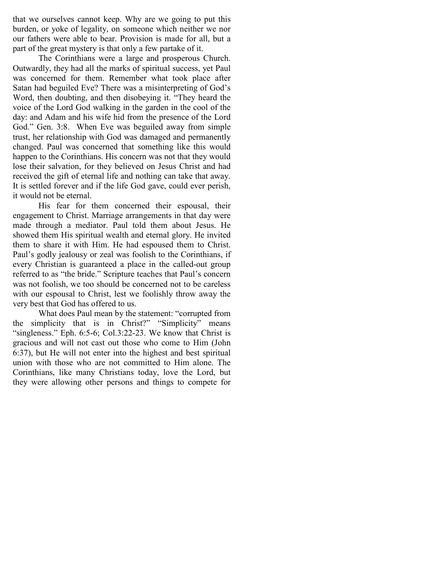that we ourselves cannot keep. Why are we going to put this burden, or yoke of legality, on someone which neither we nor our fathers were able to bear. Provision is made for all, but a part of the great mystery is that only a few partake of it.

The Corinthians were a large and prosperous Church. Outwardly, they had all the marks of spiritual success, yet Paul was concerned for them. Remember what took place after Satan had beguiled Eve? There was a misinterpreting of God's Word, then doubting, and then disobeying it. "They heard the voice of the Lord God walking in the garden in the cool of the day: and Adam and his wife hid from the presence of the Lord God." Gen. 3:8. When Eve was beguiled away from simple trust, her relationship with God was damaged and permanently changed. Paul was concerned that something like this would happen to the Corinthians. His concern was not that they would lose their salvation, for they believed on Jesus Christ and had received the gift of eternal life and nothing can take that away. It is settled forever and if the life God gave, could ever perish, it would not be eternal.

His fear for them concerned their espousal, their engagement to Christ. Marriage arrangements in that day were made through a mediator. Paul told them about Jesus. He showed them His spiritual wealth and eternal glory. He invited them to share it with Him. He had espoused them to Christ. Paul's godly jealousy or zeal was foolish to the Corinthians, if every Christian is guaranteed a place in the called-out group referred to as "the bride." Scripture teaches that Paul's concern was not foolish, we too should be concerned not to be careless with our espousal to Christ, lest we foolishly throw away the very best that God has offered to us.

What does Paul mean by the statement: "corrupted from the simplicity that is in Christ?" "Simplicity" means "singleness." Eph. 6:5-6; Col.3:22-23. We know that Christ is gracious and will not cast out those who come to Him (John 6:37), but He will not enter into the highest and best spiritual union with those who are not committed to Him alone. The Corinthians, like many Christians today, love the Lord, but they were allowing other persons and things to compete for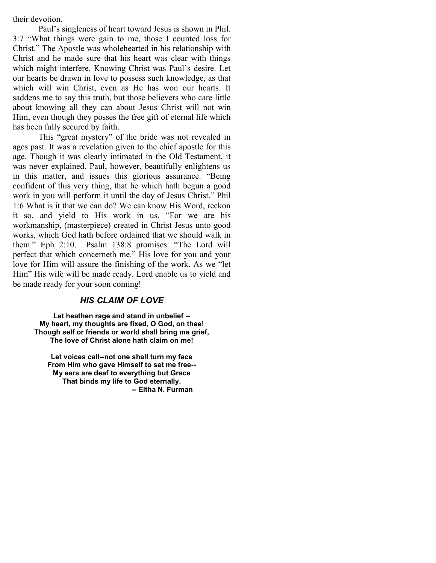their devotion.

Paul's singleness of heart toward Jesus is shown in Phil. 3:7 "What things were gain to me, those I counted loss for Christ." The Apostle was wholehearted in his relationship with Christ and he made sure that his heart was clear with things which might interfere. Knowing Christ was Paul's desire. Let our hearts be drawn in love to possess such knowledge, as that which will win Christ, even as He has won our hearts. It saddens me to say this truth, but those believers who care little about knowing all they can about Jesus Christ will not win Him, even though they posses the free gift of eternal life which has been fully secured by faith.

This "great mystery" of the bride was not revealed in ages past. It was a revelation given to the chief apostle for this age. Though it was clearly intimated in the Old Testament, it was never explained. Paul, however, beautifully enlightens us in this matter, and issues this glorious assurance. "Being confident of this very thing, that he which hath begun a good work in you will perform it until the day of Jesus Christ." Phil 1:6 What is it that we can do? We can know His Word, reckon it so, and yield to His work in us. "For we are his workmanship, (masterpiece) created in Christ Jesus unto good works, which God hath before ordained that we should walk in them." Eph 2:10. Psalm 138:8 promises: "The Lord will perfect that which concerneth me." His love for you and your love for Him will assure the finishing of the work. As we "let Him" His wife will be made ready. Lord enable us to yield and be made ready for your soon coming!

## HIS CLAIM OF LOVE

Let heathen rage and stand in unbelief -- My heart, my thoughts are fixed, O God, on thee! Though self or friends or world shall bring me grief, The love of Christ alone hath claim on me!

Let voices call--not one shall turn my face From Him who gave Himself to set me free-- My ears are deaf to everything but Grace That binds my life to God eternally. -- Eltha N. Furman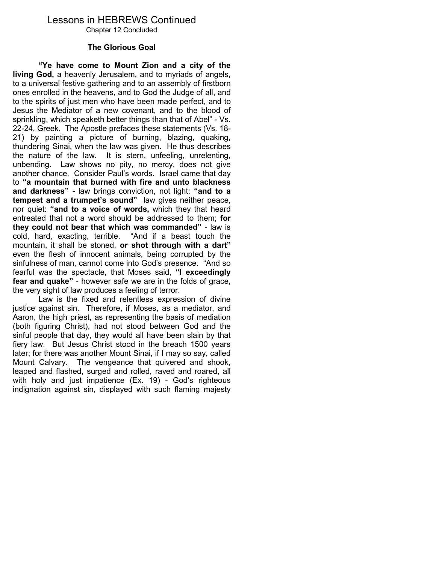# Lessons in HEBREWS Continued

Chapter 12 Concluded

### The Glorious Goal

"Ye have come to Mount Zion and a city of the living God, a heavenly Jerusalem, and to myriads of angels, to a universal festive gathering and to an assembly of firstborn ones enrolled in the heavens, and to God the Judge of all, and to the spirits of just men who have been made perfect, and to Jesus the Mediator of a new covenant, and to the blood of sprinkling, which speaketh better things than that of Abel" - Vs. 22-24, Greek. The Apostle prefaces these statements (Vs. 18- 21) by painting a picture of burning, blazing, quaking, thundering Sinai, when the law was given. He thus describes the nature of the law. It is stern, unfeeling, unrelenting, unbending. Law shows no pity, no mercy, does not give another chance. Consider Paul's words. Israel came that day to "a mountain that burned with fire and unto blackness and darkness" - law brings conviction, not light: "and to a tempest and a trumpet's sound" law gives neither peace, nor quiet: "and to a voice of words, which they that heard entreated that not a word should be addressed to them; for they could not bear that which was commanded" - law is cold, hard, exacting, terrible. "And if a beast touch the mountain, it shall be stoned, or shot through with a dart" even the flesh of innocent animals, being corrupted by the sinfulness of man, cannot come into God's presence. "And so fearful was the spectacle, that Moses said, "I exceedingly fear and quake" - however safe we are in the folds of grace, the very sight of law produces a feeling of terror.

 Law is the fixed and relentless expression of divine justice against sin. Therefore, if Moses, as a mediator, and Aaron, the high priest, as representing the basis of mediation (both figuring Christ), had not stood between God and the sinful people that day, they would all have been slain by that fiery law. But Jesus Christ stood in the breach 1500 years later; for there was another Mount Sinai, if I may so say, called Mount Calvary. The vengeance that quivered and shook, leaped and flashed, surged and rolled, raved and roared, all with holy and just impatience (Ex. 19) - God's righteous indignation against sin, displayed with such flaming majesty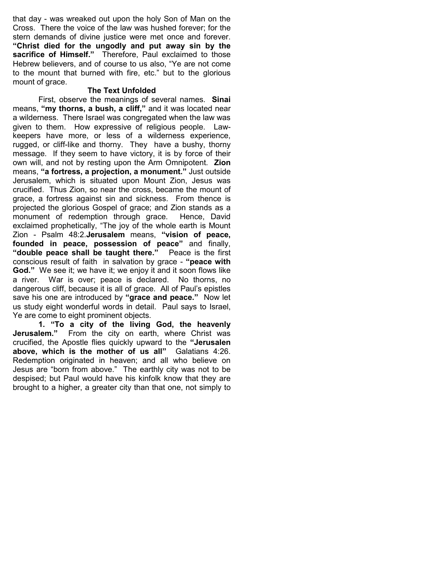that day - was wreaked out upon the holy Son of Man on the Cross. There the voice of the law was hushed forever; for the stern demands of divine justice were met once and forever. "Christ died for the ungodly and put away sin by the sacrifice of Himself." Therefore, Paul exclaimed to those Hebrew believers, and of course to us also, "Ye are not come to the mount that burned with fire, etc." but to the glorious mount of grace.

### The Text Unfolded

 First, observe the meanings of several names. Sinai means, "my thorns, a bush, a cliff," and it was located near a wilderness. There Israel was congregated when the law was given to them. How expressive of religious people. Lawkeepers have more, or less of a wilderness experience, rugged, or cliff-like and thorny. They have a bushy, thorny message. If they seem to have victory, it is by force of their own will, and not by resting upon the Arm Omnipotent. **Zion** means, "a fortress, a projection, a monument." Just outside Jerusalem, which is situated upon Mount Zion, Jesus was crucified. Thus Zion, so near the cross, became the mount of grace, a fortress against sin and sickness. From thence is projected the glorious Gospel of grace; and Zion stands as a monument of redemption through grace. Hence, David exclaimed prophetically, "The joy of the whole earth is Mount Zion - Psalm 48:2.Jerusalem means, "vision of peace, founded in peace, possession of peace" and finally, "double peace shall be taught there." Peace is the first conscious result of faith in salvation by grace - "peace with God." We see it; we have it; we enjoy it and it soon flows like a river. War is over; peace is declared. No thorns, no dangerous cliff, because it is all of grace. All of Paul's epistles save his one are introduced by "grace and peace." Now let us study eight wonderful words in detail. Paul says to Israel, Ye are come to eight prominent objects.

1. "To a city of the living God, the heavenly Jerusalem." From the city on earth, where Christ was crucified, the Apostle flies quickly upward to the "Jerusalen above, which is the mother of us all" Galatians 4:26. Redemption originated in heaven; and all who believe on Jesus are "born from above." The earthly city was not to be despised; but Paul would have his kinfolk know that they are brought to a higher, a greater city than that one, not simply to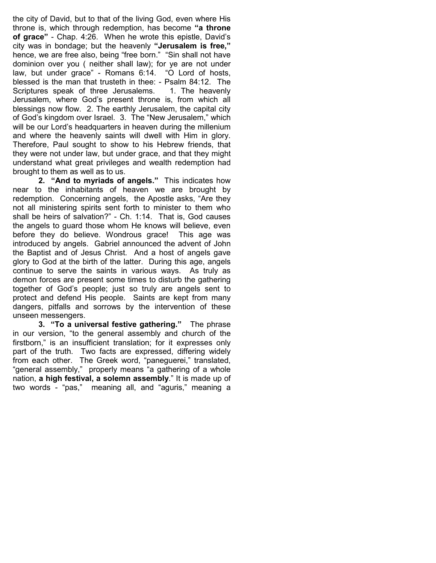the city of David, but to that of the living God, even where His throne is, which through redemption, has become "a throne of grace" - Chap. 4:26. When he wrote this epistle, David's city was in bondage; but the heavenly "Jerusalem is free," hence, we are free also, being "free born." "Sin shall not have dominion over you ( neither shall law); for ye are not under law, but under grace" - Romans 6:14. "O Lord of hosts, blessed is the man that trusteth in thee: - Psalm 84:12. The Scriptures speak of three Jerusalems. 1. The heavenly Jerusalem, where God's present throne is, from which all blessings now flow. 2. The earthly Jerusalem, the capital city of God's kingdom over Israel. 3. The "New Jerusalem," which will be our Lord's headquarters in heaven during the millenium and where the heavenly saints will dwell with Him in glory. Therefore, Paul sought to show to his Hebrew friends, that they were not under law, but under grace, and that they might understand what great privileges and wealth redemption had brought to them as well as to us.

2. "And to myriads of angels." This indicates how near to the inhabitants of heaven we are brought by redemption. Concerning angels, the Apostle asks, "Are they not all ministering spirits sent forth to minister to them who shall be heirs of salvation?" - Ch. 1:14. That is, God causes the angels to guard those whom He knows will believe, even before they do believe. Wondrous grace! This age was introduced by angels. Gabriel announced the advent of John the Baptist and of Jesus Christ. And a host of angels gave glory to God at the birth of the latter. During this age, angels continue to serve the saints in various ways. As truly as demon forces are present some times to disturb the gathering together of God's people; just so truly are angels sent to protect and defend His people. Saints are kept from many dangers, pitfalls and sorrows by the intervention of these unseen messengers.

3. "To a universal festive gathering." The phrase in our version, "to the general assembly and church of the firstborn," is an insufficient translation; for it expresses only part of the truth. Two facts are expressed, differing widely from each other. The Greek word, "paneguerei," translated, "general assembly," properly means "a gathering of a whole nation, a high festival, a solemn assembly." It is made up of two words - "pas," meaning all, and "aguris," meaning a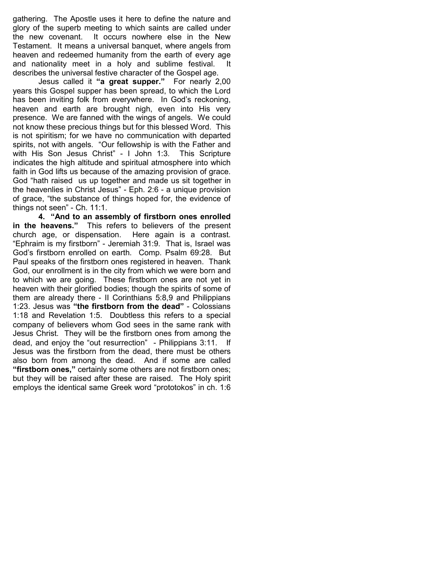gathering. The Apostle uses it here to define the nature and glory of the superb meeting to which saints are called under the new covenant. It occurs nowhere else in the New Testament. It means a universal banquet, where angels from heaven and redeemed humanity from the earth of every age and nationality meet in a holy and sublime festival. It describes the universal festive character of the Gospel age.

Jesus called it "a great supper." For nearly 2,00 years this Gospel supper has been spread, to which the Lord has been inviting folk from everywhere. In God's reckoning, heaven and earth are brought nigh, even into His very presence. We are fanned with the wings of angels. We could not know these precious things but for this blessed Word. This is not spiritism; for we have no communication with departed spirits, not with angels. "Our fellowship is with the Father and with His Son Jesus Christ" - I John 1:3. This Scripture indicates the high altitude and spiritual atmosphere into which faith in God lifts us because of the amazing provision of grace. God "hath raised us up together and made us sit together in the heavenlies in Christ Jesus" - Eph. 2:6 - a unique provision of grace, "the substance of things hoped for, the evidence of things not seen" - Ch. 11:1.

4. "And to an assembly of firstborn ones enrolled in the heavens." This refers to believers of the present church age, or dispensation. Here again is a contrast. "Ephraim is my firstborn" - Jeremiah 31:9. That is, Israel was God's firstborn enrolled on earth. Comp. Psalm 69:28. But Paul speaks of the firstborn ones registered in heaven. Thank God, our enrollment is in the city from which we were born and to which we are going. These firstborn ones are not yet in heaven with their glorified bodies; though the spirits of some of them are already there - II Corinthians 5:8,9 and Philippians 1:23. Jesus was "the firstborn from the dead" - Colossians 1:18 and Revelation 1:5. Doubtless this refers to a special company of believers whom God sees in the same rank with Jesus Christ. They will be the firstborn ones from among the dead, and enjoy the "out resurrection" - Philippians 3:11. If Jesus was the firstborn from the dead, there must be others also born from among the dead. And if some are called "firstborn ones," certainly some others are not firstborn ones; but they will be raised after these are raised. The Holy spirit employs the identical same Greek word "prototokos" in ch. 1:6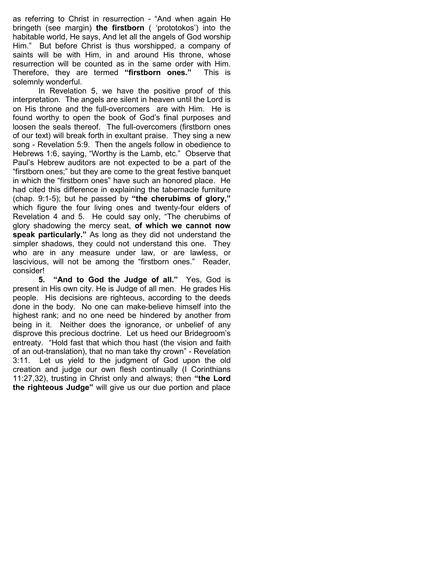as referring to Christ in resurrection - "And when again He bringeth (see margin) the firstborn ( 'prototokos') into the habitable world, He says, And let all the angels of God worship Him." But before Christ is thus worshipped, a company of saints will be with Him, in and around His throne, whose resurrection will be counted as in the same order with Him. Therefore, they are termed "firstborn ones." This is solemnly wonderful.

 In Revelation 5, we have the positive proof of this interpretation. The angels are silent in heaven until the Lord is on His throne and the full-overcomers are with Him. He is found worthy to open the book of God's final purposes and loosen the seals thereof. The full-overcomers (firstborn ones of our text) will break forth in exultant praise. They sing a new song - Revelation 5:9. Then the angels follow in obedience to Hebrews 1:6, saying, "Worthy is the Lamb, etc." Observe that Paul's Hebrew auditors are not expected to be a part of the "firstborn ones;" but they are come to the great festive banquet in which the "firstborn ones" have such an honored place. He had cited this difference in explaining the tabernacle furniture (chap. 9:1-5); but he passed by "the cherubims of glory," which figure the four living ones and twenty-four elders of Revelation 4 and 5. He could say only, "The cherubims of glory shadowing the mercy seat, of which we cannot now speak particularly." As long as they did not understand the simpler shadows, they could not understand this one. They who are in any measure under law, or are lawless, or lascivious, will not be among the "firstborn ones." Reader, consider!

5. "And to God the Judge of all." Yes, God is present in His own city. He is Judge of all men. He grades His people. His decisions are righteous, according to the deeds done in the body. No one can make-believe himself into the highest rank; and no one need be hindered by another from being in it. Neither does the ignorance, or unbelief of any disprove this precious doctrine. Let us heed our Bridegroom's entreaty. "Hold fast that which thou hast (the vision and faith of an out-translation), that no man take thy crown" - Revelation 3:11. Let us yield to the judgment of God upon the old creation and judge our own flesh continually (I Corinthians 11:27,32), trusting in Christ only and always; then "the Lord the righteous Judge" will give us our due portion and place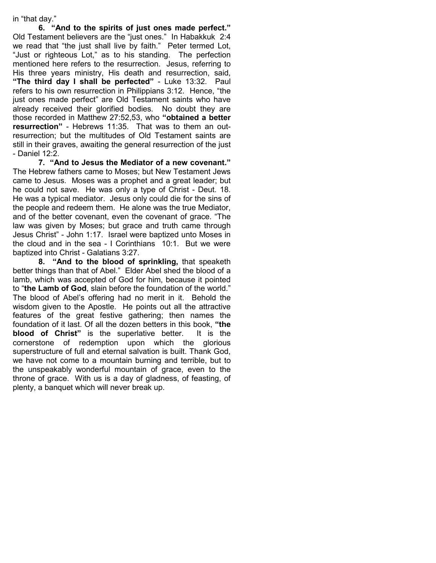in "that day."

6. "And to the spirits of just ones made perfect." Old Testament believers are the "just ones." In Habakkuk 2:4 we read that "the just shall live by faith." Peter termed Lot, "Just or righteous Lot," as to his standing. The perfection mentioned here refers to the resurrection. Jesus, referring to His three years ministry, His death and resurrection, said, "The third day I shall be perfected" - Luke 13:32. Paul refers to his own resurrection in Philippians 3:12. Hence, "the just ones made perfect" are Old Testament saints who have already received their glorified bodies. No doubt they are those recorded in Matthew 27:52,53, who "obtained a better resurrection" - Hebrews 11:35. That was to them an outresurrection; but the multitudes of Old Testament saints are still in their graves, awaiting the general resurrection of the just - Daniel 12:2.

7. "And to Jesus the Mediator of a new covenant." The Hebrew fathers came to Moses; but New Testament Jews came to Jesus. Moses was a prophet and a great leader; but he could not save. He was only a type of Christ - Deut. 18. He was a typical mediator. Jesus only could die for the sins of the people and redeem them. He alone was the true Mediator, and of the better covenant, even the covenant of grace. "The law was given by Moses; but grace and truth came through Jesus Christ" - John 1:17. Israel were baptized unto Moses in the cloud and in the sea - I Corinthians 10:1. But we were baptized into Christ - Galatians 3:27.

8. "And to the blood of sprinkling, that speaketh better things than that of Abel." Elder Abel shed the blood of a lamb, which was accepted of God for him, because it pointed to "the Lamb of God, slain before the foundation of the world." The blood of Abel's offering had no merit in it. Behold the wisdom given to the Apostle. He points out all the attractive features of the great festive gathering; then names the foundation of it last. Of all the dozen betters in this book, "the blood of Christ" is the superlative better. It is the cornerstone of redemption upon which the glorious superstructure of full and eternal salvation is built. Thank God, we have not come to a mountain burning and terrible, but to the unspeakably wonderful mountain of grace, even to the throne of grace. With us is a day of gladness, of feasting, of plenty, a banquet which will never break up.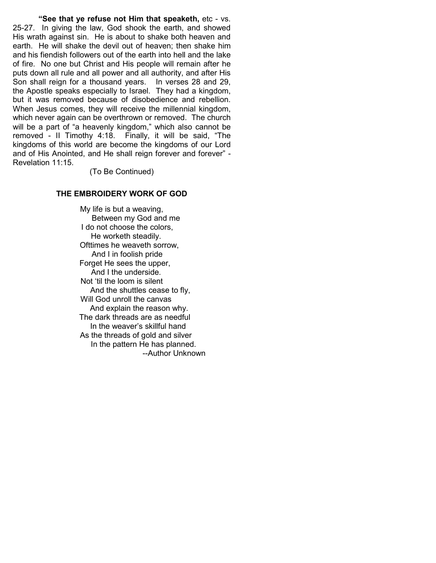"See that ye refuse not Him that speaketh, etc - vs. 25-27. In giving the law, God shook the earth, and showed His wrath against sin. He is about to shake both heaven and earth. He will shake the devil out of heaven; then shake him and his fiendish followers out of the earth into hell and the lake of fire. No one but Christ and His people will remain after he puts down all rule and all power and all authority, and after His Son shall reign for a thousand years. In verses 28 and 29, the Apostle speaks especially to Israel. They had a kingdom, but it was removed because of disobedience and rebellion. When Jesus comes, they will receive the millennial kingdom, which never again can be overthrown or removed. The church will be a part of "a heavenly kingdom," which also cannot be removed - II Timothy 4:18. Finally, it will be said, "The kingdoms of this world are become the kingdoms of our Lord and of His Anointed, and He shall reign forever and forever" - Revelation 11:15.

(To Be Continued)

### THE EMBROIDERY WORK OF GOD

My life is but a weaving, Between my God and me I do not choose the colors, He worketh steadily. Ofttimes he weaveth sorrow, And I in foolish pride Forget He sees the upper. And I the underside. Not 'til the loom is silent And the shuttles cease to fly, Will God unroll the canvas And explain the reason why. The dark threads are as needful In the weaver's skillful hand As the threads of gold and silver In the pattern He has planned. --Author Unknown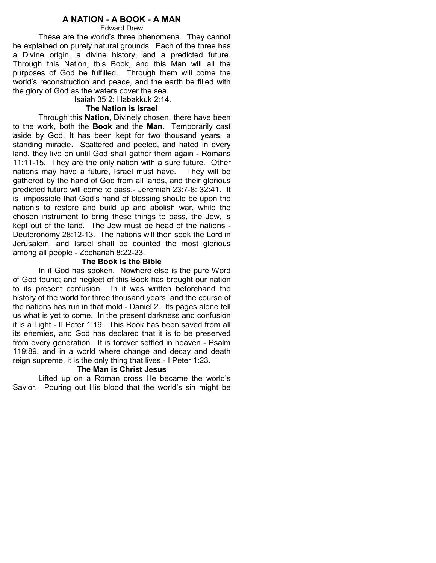## A NATION - A BOOK - A MAN

Edward Drew

These are the world's three phenomena. They cannot be explained on purely natural grounds. Each of the three has a Divine origin, a divine history, and a predicted future. Through this Nation, this Book, and this Man will all the purposes of God be fulfilled. Through them will come the world's reconstruction and peace, and the earth be filled with the glory of God as the waters cover the sea.

Isaiah 35:2: Habakkuk 2:14.

### The Nation is Israel

 Through this Nation, Divinely chosen, there have been to the work, both the **Book** and the **Man.** Temporarily cast aside by God, It has been kept for two thousand years, a standing miracle. Scattered and peeled, and hated in every land, they live on until God shall gather them again - Romans 11:11-15. They are the only nation with a sure future. Other nations may have a future, Israel must have. They will be gathered by the hand of God from all lands, and their glorious predicted future will come to pass.- Jeremiah 23:7-8: 32:41. It is impossible that God's hand of blessing should be upon the nation's to restore and build up and abolish war, while the chosen instrument to bring these things to pass, the Jew, is kept out of the land. The Jew must be head of the nations - Deuteronomy 28:12-13. The nations will then seek the Lord in Jerusalem, and Israel shall be counted the most glorious among all people - Zechariah 8:22-23.

### The Book is the Bible

 In it God has spoken. Nowhere else is the pure Word of God found; and neglect of this Book has brought our nation to its present confusion. In it was written beforehand the history of the world for three thousand years, and the course of the nations has run in that mold - Daniel 2. Its pages alone tell us what is yet to come. In the present darkness and confusion it is a Light - II Peter 1:19. This Book has been saved from all its enemies, and God has declared that it is to be preserved from every generation. It is forever settled in heaven - Psalm 119:89, and in a world where change and decay and death reign supreme, it is the only thing that lives - I Peter 1:23.

### The Man is Christ Jesus

 Lifted up on a Roman cross He became the world's Savior. Pouring out His blood that the world's sin might be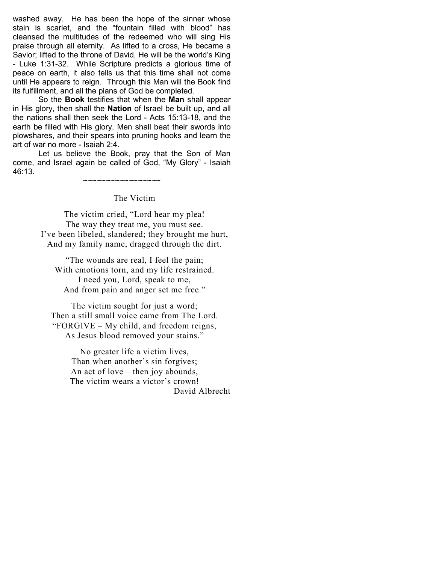washed away. He has been the hope of the sinner whose stain is scarlet, and the "fountain filled with blood" has cleansed the multitudes of the redeemed who will sing His praise through all eternity. As lifted to a cross, He became a Savior; lifted to the throne of David, He will be the world's King - Luke 1:31-32. While Scripture predicts a glorious time of peace on earth, it also tells us that this time shall not come until He appears to reign. Through this Man will the Book find its fulfillment, and all the plans of God be completed.

 So the Book testifies that when the Man shall appear in His glory, then shall the Nation of Israel be built up, and all the nations shall then seek the Lord - Acts 15:13-18, and the earth be filled with His glory. Men shall beat their swords into plowshares, and their spears into pruning hooks and learn the art of war no more - Isaiah 2:4.

 Let us believe the Book, pray that the Son of Man come, and Israel again be called of God, "My Glory" - Isaiah 46:13.

~~~~~~~~~~~~~~~~~

### The Victim

The victim cried, "Lord hear my plea! The way they treat me, you must see. I've been libeled, slandered; they brought me hurt, And my family name, dragged through the dirt.

"The wounds are real, I feel the pain; With emotions torn, and my life restrained. I need you, Lord, speak to me, And from pain and anger set me free."

The victim sought for just a word; Then a still small voice came from The Lord. "FORGIVE – My child, and freedom reigns, As Jesus blood removed your stains."

> No greater life a victim lives, Than when another's sin forgives; An act of love – then joy abounds, The victim wears a victor's crown! David Albrecht